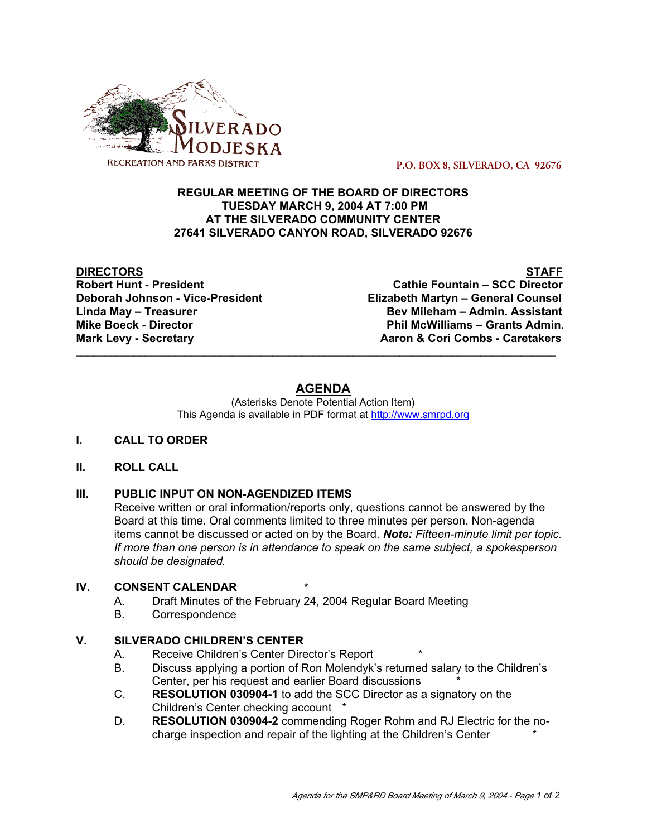

 **P.O. BOX 8, SILVERADO, CA 92676**

# **REGULAR MEETING OF THE BOARD OF DIRECTORS TUESDAY MARCH 9, 2004 AT 7:00 PM AT THE SILVERADO COMMUNITY CENTER 27641 SILVERADO CANYON ROAD, SILVERADO 92676**

**DIRECTORS STAFF Cathie Fountain – SCC Director Deborah Johnson - Vice-President Elizabeth Martyn – General Counsel Linda May – Treasurer Bev Mileham – Admin. Assistant Mike Boeck - Director Phil McWilliams – Grants Admin. Mark Levy - Secretary Combs - Caretakers** Aaron & Cori Combs - Caretakers

# **AGENDA**

\_\_\_\_\_\_\_\_\_\_\_\_\_\_\_\_\_\_\_\_\_\_\_\_\_\_\_\_\_\_\_\_\_\_\_\_\_\_\_\_\_\_\_\_\_\_\_\_\_\_\_\_\_\_\_\_\_\_\_\_\_\_\_\_\_\_\_\_\_\_\_\_\_\_\_\_\_\_\_\_\_\_\_

(Asterisks Denote Potential Action Item) This Agenda is available in PDF format at http://www.smrpd.org

# **I. CALL TO ORDER**

# **II. ROLL CALL**

# **III. PUBLIC INPUT ON NON-AGENDIZED ITEMS**

Receive written or oral information/reports only, questions cannot be answered by the Board at this time. Oral comments limited to three minutes per person. Non-agenda items cannot be discussed or acted on by the Board. *Note: Fifteen-minute limit per topic. If more than one person is in attendance to speak on the same subject, a spokesperson should be designated.*

# **IV. CONSENT CALENDAR \***

- A. Draft Minutes of the February 24, 2004 Regular Board Meeting
- B. Correspondence

# **V. SILVERADO CHILDREN'S CENTER**

- A. Receive Children's Center Director's Report
- B. Discuss applying a portion of Ron Molendyk's returned salary to the Children's Center, per his request and earlier Board discussions \*
- C. **RESOLUTION 030904-1** to add the SCC Director as a signatory on the Children's Center checking account \*
- D. **RESOLUTION 030904-2** commending Roger Rohm and RJ Electric for the nocharge inspection and repair of the lighting at the Children's Center \*